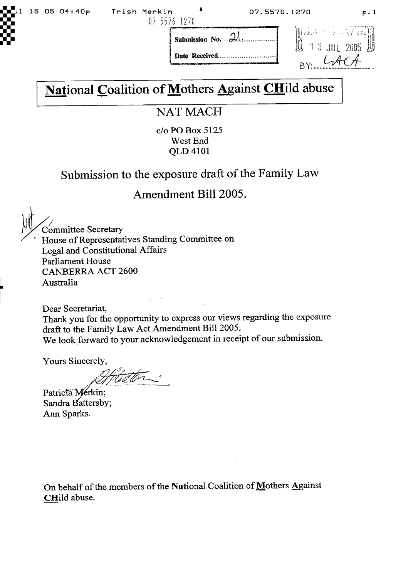

**Dare Received**



# National Coalition of Mothers Against CHild abuse

### **NAT MACH**

c/o PO Box 5125 West End QLD 4101

## **Submission to the exposure draft ofthe Family Law**

#### **Amendment Bill 2005.**

Committee Secretary House of Representatives Standing Committee on Legal and Constitutional Affairs Parliament House CANBERRA ACT 2600 Australia

Dear Secretariat,

Thank you for the opportunity to express our views regarding the exposure draft to the Family Law Act Amendment Bill *2005.* We look forward to your acknowledgement in receipt of our submission.

Yours Sincerely,

**2**

Patricta Mérkin; Sandra Battersby; Ann Sparks.

On behalf of the members of the National Coalition of Mothers Against CHild abuse.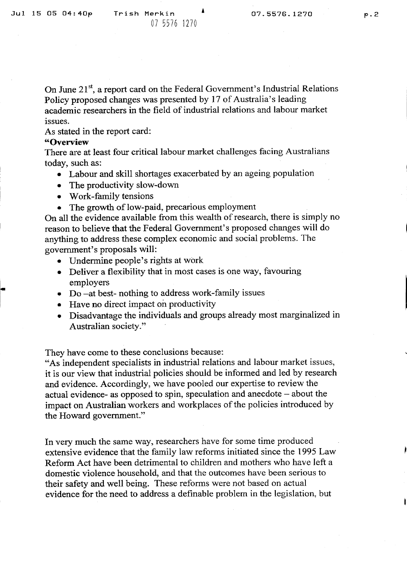On June  $21<sup>st</sup>$ , a report card on the Federal Government's Industrial Relations Policy proposed changes was presented by 17 of Australia's leading academic researchers in the field of industrial relations and labour market issues.

As stated in the report card:

#### **"Overview**

There are at least four critical labour market challenges facing Australians today, such as:

- Labour and skill shortages exacerbated by an ageing population
- The productivity slow-down
- Work-family tensions
- The growth of low-paid, precarious employment

On all the evidence available from this wealth of research, there is simply no reason to believe that the Federal Government's proposed changes will do anything to address these complex economic and social problems. The government's proposals will:

- Undermine people's rights at work
- Deliver a flexibility that in most cases is one way, favouring employers
- Do –at best- nothing to address work-family issues
- Have no direct impact on productivity
- Disadvantage the individuals and groups already most marginalized in Australian society."

They have come to these conclusions because:

"As independent specialists in industrial relations and labour market issues, it is our view that industrial policies should be informed and led by research and evidence. Accordingly, we have pooled our expertise to review the actual evidence- as opposed to spin, speculation and anecdote — about the impact on Australian workers and workplaces of the policies introduced by the Howard government."

In very much the same way, researchers have for some time produced extensive evidence that the family law reforms initiated since the 1995 Law Reform Act have been detrimental to children and mothers who have left a domestic violence household, and that the outcomes have been serious to their safety and well being. These reforms were not based on actual evidence for the need to address a definable problem in the legislation, but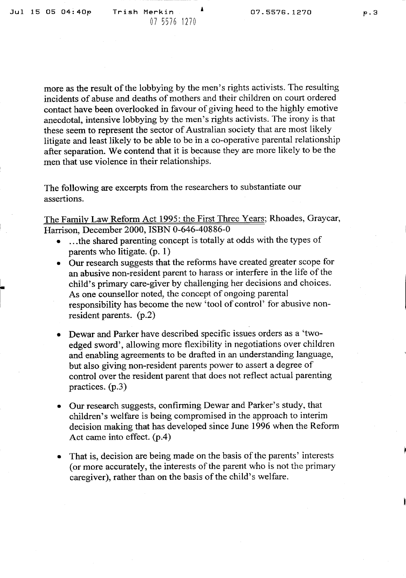more as the result of the lobbying by the men's rights activists. The resulting incidents of abuse and deaths of mothers and their children on court ordered contact have been overlooked in favour of giving heed to the highly emotive anecdotal, intensive lobbying by the men's rights activists. The irony is that these seem to represent the sector of Australian society that are most likely litigate and least likely to be able to be in a co-operative parental relationship after separation. We contend that it is because they are more likely to be the men that use violence in their relationships.

The following are excerpts from the researchers to substantiate our assertions.

The Family Law Reform Act 1995: the First Three Years; Rhoades, Graycar, Harrison, December 2000, ISBN 0-646-40886-0

- ... the shared parenting concept is totally at odds with the types of parents who litigate. (p. 1)
- Our research suggests that the reforms have created greater scope for an abusive non-resident parent to harass or interfere in the life of the child's primary care-giver by challenging her decisions and choices. As one counsellor noted, the concept of ongoing parental responsibility has become the new 'tool of control' for abusive nonresident parents. (p.2)
- Dewar and Parker have described specific issues orders as a 'twoedged sword', allowing more flexibility in negotiations over children and enabling agreements to be drafted in an understanding language, but also giving non-resident parents power to assert a degree of control over the resident parent that does not reflect actual parenting practices. (p.3)
- Our research suggests, confirming Dewar and Parker's study, that children's welfare is being compromised in the approach to interim decision making that has developed since June 1996 when the Reform Act came into effect. (p.4)
- That is, decision are being made on the basis of the parents' interests (or more accurately, the interests of the parent who is not the primary caregiver), rather than on the basis of the child's welfare.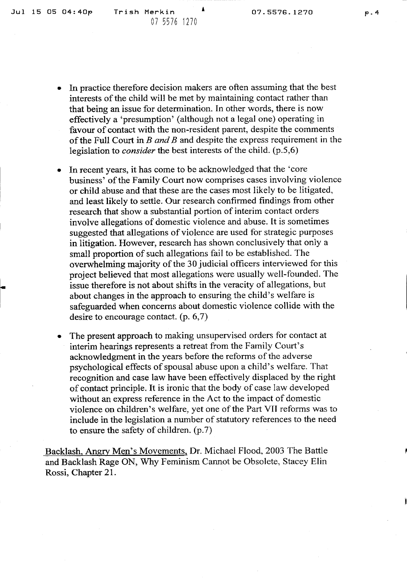- In practice therefore decision makers are often assuming that the best interests of the child will be met by maintaining contact rather than that being an issue for determination. In other words, there is now effectively a 'presumption' (although not a legal one) operating in favour of contact with the non-resident parent, despite the comments of the Full Court in *B and B* and despite the express requirement in the legislation to *consider* the best interests of the child. (p.5,6)
- In recent years, it has come to be acknowledged that the 'core business' of the Family Court now comprises cases involving violence or child abuse and that these are the cases most likely to be litigated, and least likely to settle. Our research confirmed findings from other research that show a substantial portion of interim contact orders involve allegations of domestic violence and abuse. It is sometimes suggested that allegations of violence are used for strategic purposes in litigation. However, research has shown conclusively that only a small proportion of such allegations fail to be established. The overwhelming majority of the 30 judicial officers interviewed for this project believed that most allegations were usually well-founded. The issue therefore is not about shifts in the veracity of allegations, but about changes in the approach to ensuring the child's welfare is safeguarded when concerns about domestic violence collide with the desire to encourage contact. (p. 6,7)
- The present approach to making unsupervised orders for contact at interim hearings represents a retreat from the Family Court's acknowledgment in the years before the reforms of the adverse psychological effects of spousal abuse upon a child's welfare. That recognition and case law have been effectively displaced by the right of contact principle. It is ironic that the body of case law developed without an express reference in the Act to the impact of domestic violence on children's welfare, yet one of the Part VII reforms was to include in the legislation a number of statutory references to the need to ensure the safety of children. (p.7)

Backlash, Angry Men's Movements, Dr. Michael Flood, 2003 The Battle and Backlash Rage ON, Why Feminism Cannot be Obsolete, Stacey Elm Rossi, Chapter 21.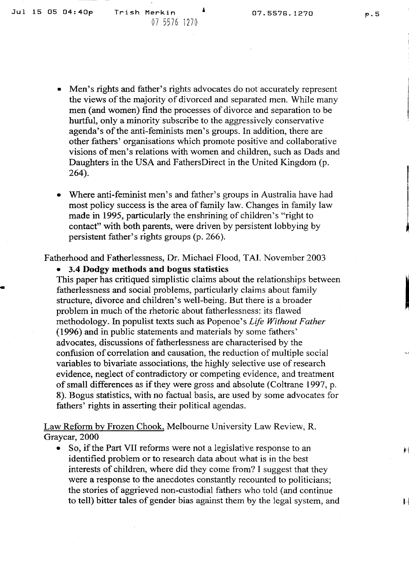- Men's rights and father's rights advocates do not accurately represent the views of the majority of divorced and separated men. While many men (and women) find the processes of divorce and separation to be hurtful, only aminority subscribe to the aggressively conservative agenda's of the anti-feminists men's groups. In addition, there are other fathers' organisations which promote positive and collaborative visions of men's relations with women and children, such as Dads and Daughters in the USA and FathersDirect in the United Kingdom (p. 264).
- Where anti-feminist men's and father's groups in Australia have had most policy success is the area of family law. Changes in family law made in 1995, particularly the enshrining of children's "right to contact" with both parents, were driven by persistent lobbying by persistent father's rights groups (p. 266).

Fatherhood and Fatherlessness, Dr. Michael Flood, TAI. November 2003

• 3.4 **Dodgy methods and bogus statistics**

This paper has critiqued simplistic claims about the relationships between fatherlessness and social problems, particularly claims about family structure, divorce and children's well-being. But there is a broader problem in much of the rhetoric about fatherlessness: its flawed methodology. In populist texts such as Popenoe's *Life Without Father* (1996) and in public statements and materials by some fathers' advocates, discussions of fatherlessness are characterised by the confusion of correlation and causation, the reduction of multiple social variables to bivariate associations, the highly selective use of research evidence, neglect of contradictory or competing evidence, and treatment of small differences as if they were gross and absolute (Coltrane 1997, p. 8). Bogus statistics, with no factual basis, are used by some advocates for fathers' rights in asserting their political agendas.

Law Reform by Frozen Chook. Melbourne University Law Review, R. Graycar, 2000

So, if the Part VII reforms were not a legislative response to an identified problem or to research data about what is in the best interests of children, where did they come from? <sup>I</sup> suggest that they were a response to the anecdotes constantly recounted to politicians; the stories of aggrieved non-custodial fathers who told (and continue to tell) bitter tales of gender bias against them by the legal system, and

 $\mathbf{r}$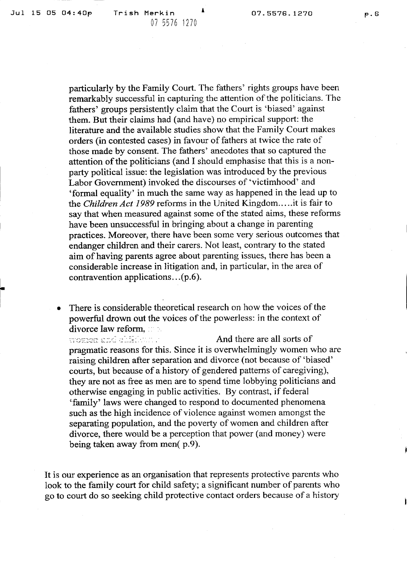**6**

particularly by the Family Court. The fathers' rights groups have been remarkably successful in capturing the attention of the politicians. The fathers' groups persistently claim that the Court is 'biased' against them. But their claims had (and have) no empirical support: the literature and the available studies show that the Family Court makes orders (in contested cases) in favour of fathers at twice the rate of those made by consent. The fathers' anecdotes that so captured the attention of the politicians (and I should emphasise that this is a nonparty political issue: the legislation was introduced by the previous Labor Government) invoked the discourses of 'victimhood' and 'formal equality' in much the same way as happened in the lead up to the *Children Act 1989* reforms in the United Kingdom....it is fair to say that when measured against some of the stated aims, these reforms have been unsuccessful in bringing about a change in parenting practices. Moreover, there have been some very serious outcomes that endanger children and their carers. Not least, contrary to the stated aim ofhaving parents agree about parenting issues, there has been a considerable increase in litigation and, in particular, in the area of contravention applications.  $( p.6)$ .

• There is considerable theoretical research on how the voices of the powerful drown out the voices of the powerless: in the context of divorce law reform, 1998.<br>Women and eighteen a

And there are all sorts of pragmatic reasons for this. Since it is overwhelmingly women who are raising children after separation and divorce (not because of 'biased' courts, but because of a history of gendered patterns of caregiving), they are not as free as men are to spend time lobbying politicians and otherwise engaging in public activities. By contrast, if federal 'family' laws were changed to respond to documented phenomena such as the high incidence of violence against women amongst the separating population, and the poverty of women and children after divorce, there would be a perception that power (and money) were being taken away from men( p.9).

It is our experience as an organisation that represents protective parents who look to the family court for child safety; a significant number of parents who go to court do so seeking child protective contact orders because of a history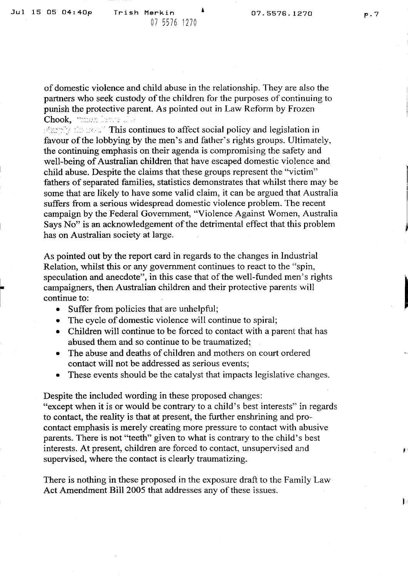of domestic violence and child abuse in the relationship. They are also the partners who seek custody of the children for the purposes of continuing to punish the protective parent. As pointed out in Law Reform by Frozen Chook, **Alman David Chook** 

 $\mathbb{R}^n$  the secole This continues to affect social policy and legislation in favour of the lobbying by the men's and father's rights groups. Ultimately, the continuing emphasis on their agenda is compromising the safety and well-being of Australian children that have escaped domestic violence and child abuse. Despite the claims that these groups represent the "victim" fathers of separated families, statistics demonstrates that whilst there may be some that are likely to have some valid claim, it can be argued that Australia suffers from a serious widespread domestic violence problem. The recent campaign by the Federal Government, "Violence Against Women. Australia Says No" is an acknowledgement of the detrimental effect that this problem has on Australian society at large.

As pointed out by the report card in regards to the changes in Industrial Relation, whilst this or any government continues to react to the "spin. speculation and anecdote", in this case that of the well-funded men's rights campaigners, then Australian children and their protective parents will continue to:

- Suffer from policies that are unhelpful;
- The cycle of domestic violence will continue to spiral;
- Children will continue to be forced to contact with a parent that has abused them and so continue to be traumatized;
- The abuse and deaths of children and mothers on court ordered contact will not be addressed as serious events;
- These events should be the catalyst that impacts legislative changes.

Despite the included wording in these proposed changes:

"except when it is or would be contrary to a child's best interests" in regards to contact, the reality is that at present, the further enshrining and pro contact emphasis is merely creating more pressure to contact with abusive parents. There is not "teeth" given to what is contrary to the child's best interests. At present, children are forced to contact, unsupervised and supervised, where the contact is clearly traumatizing.

There is nothing in these proposed in the exposure draft to the Family Law Act Amendment Bill 2005 that addresses any of these issues.